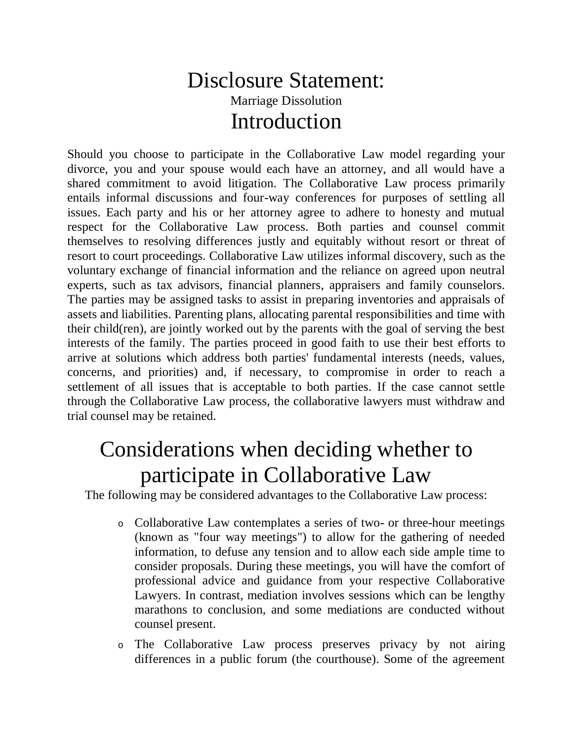## Disclosure Statement: Marriage Dissolution Introduction

Should you choose to participate in the Collaborative Law model regarding your divorce, you and your spouse would each have an attorney, and all would have a shared commitment to avoid litigation. The Collaborative Law process primarily entails informal discussions and four-way conferences for purposes of settling all issues. Each party and his or her attorney agree to adhere to honesty and mutual respect for the Collaborative Law process. Both parties and counsel commit themselves to resolving differences justly and equitably without resort or threat of resort to court proceedings. Collaborative Law utilizes informal discovery, such as the voluntary exchange of financial information and the reliance on agreed upon neutral experts, such as tax advisors, financial planners, appraisers and family counselors. The parties may be assigned tasks to assist in preparing inventories and appraisals of assets and liabilities. Parenting plans, allocating parental responsibilities and time with their child(ren), are jointly worked out by the parents with the goal of serving the best interests of the family. The parties proceed in good faith to use their best efforts to arrive at solutions which address both parties' fundamental interests (needs, values, concerns, and priorities) and, if necessary, to compromise in order to reach a settlement of all issues that is acceptable to both parties. If the case cannot settle through the Collaborative Law process, the collaborative lawyers must withdraw and trial counsel may be retained.

## Considerations when deciding whether to participate in Collaborative Law

The following may be considered advantages to the Collaborative Law process:

- o Collaborative Law contemplates a series of two- or three-hour meetings (known as "four way meetings") to allow for the gathering of needed information, to defuse any tension and to allow each side ample time to consider proposals. During these meetings, you will have the comfort of professional advice and guidance from your respective Collaborative Lawyers. In contrast, mediation involves sessions which can be lengthy marathons to conclusion, and some mediations are conducted without counsel present.
- o The Collaborative Law process preserves privacy by not airing differences in a public forum (the courthouse). Some of the agreement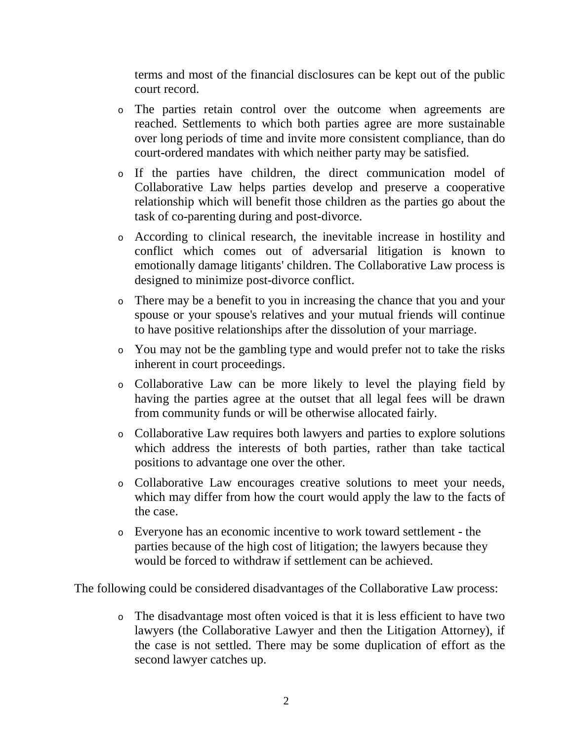terms and most of the financial disclosures can be kept out of the public court record.

- o The parties retain control over the outcome when agreements are reached. Settlements to which both parties agree are more sustainable over long periods of time and invite more consistent compliance, than do court-ordered mandates with which neither party may be satisfied.
- o If the parties have children, the direct communication model of Collaborative Law helps parties develop and preserve a cooperative relationship which will benefit those children as the parties go about the task of co-parenting during and post-divorce.
- o According to clinical research, the inevitable increase in hostility and conflict which comes out of adversarial litigation is known to emotionally damage litigants' children. The Collaborative Law process is designed to minimize post-divorce conflict.
- o There may be a benefit to you in increasing the chance that you and your spouse or your spouse's relatives and your mutual friends will continue to have positive relationships after the dissolution of your marriage.
- o You may not be the gambling type and would prefer not to take the risks inherent in court proceedings.
- o Collaborative Law can be more likely to level the playing field by having the parties agree at the outset that all legal fees will be drawn from community funds or will be otherwise allocated fairly.
- o Collaborative Law requires both lawyers and parties to explore solutions which address the interests of both parties, rather than take tactical positions to advantage one over the other.
- o Collaborative Law encourages creative solutions to meet your needs, which may differ from how the court would apply the law to the facts of the case.
- o Everyone has an economic incentive to work toward settlement the parties because of the high cost of litigation; the lawyers because they would be forced to withdraw if settlement can be achieved.

The following could be considered disadvantages of the Collaborative Law process:

o The disadvantage most often voiced is that it is less efficient to have two lawyers (the Collaborative Lawyer and then the Litigation Attorney), if the case is not settled. There may be some duplication of effort as the second lawyer catches up.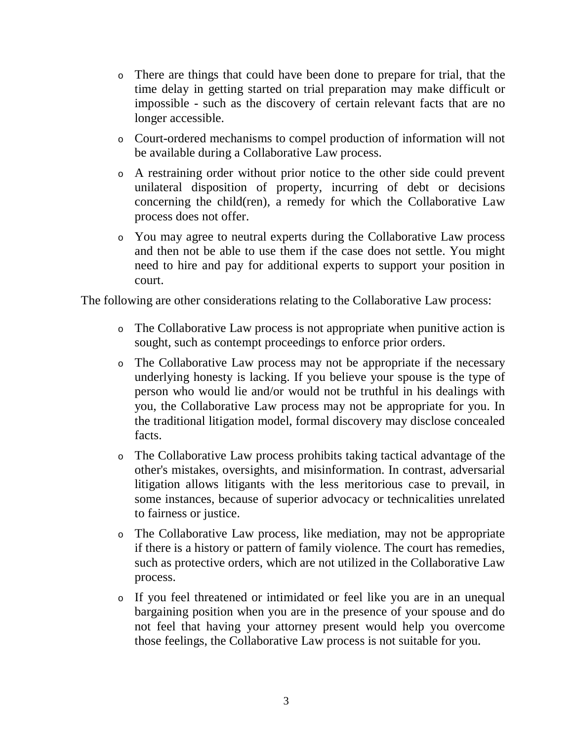- o There are things that could have been done to prepare for trial, that the time delay in getting started on trial preparation may make difficult or impossible - such as the discovery of certain relevant facts that are no longer accessible.
- o Court-ordered mechanisms to compel production of information will not be available during a Collaborative Law process.
- o A restraining order without prior notice to the other side could prevent unilateral disposition of property, incurring of debt or decisions concerning the child(ren), a remedy for which the Collaborative Law process does not offer.
- o You may agree to neutral experts during the Collaborative Law process and then not be able to use them if the case does not settle. You might need to hire and pay for additional experts to support your position in court.

The following are other considerations relating to the Collaborative Law process:

- o The Collaborative Law process is not appropriate when punitive action is sought, such as contempt proceedings to enforce prior orders.
- o The Collaborative Law process may not be appropriate if the necessary underlying honesty is lacking. If you believe your spouse is the type of person who would lie and/or would not be truthful in his dealings with you, the Collaborative Law process may not be appropriate for you. In the traditional litigation model, formal discovery may disclose concealed facts.
- o The Collaborative Law process prohibits taking tactical advantage of the other's mistakes, oversights, and misinformation. In contrast, adversarial litigation allows litigants with the less meritorious case to prevail, in some instances, because of superior advocacy or technicalities unrelated to fairness or justice.
- o The Collaborative Law process, like mediation, may not be appropriate if there is a history or pattern of family violence. The court has remedies, such as protective orders, which are not utilized in the Collaborative Law process.
- o If you feel threatened or intimidated or feel like you are in an unequal bargaining position when you are in the presence of your spouse and do not feel that having your attorney present would help you overcome those feelings, the Collaborative Law process is not suitable for you.